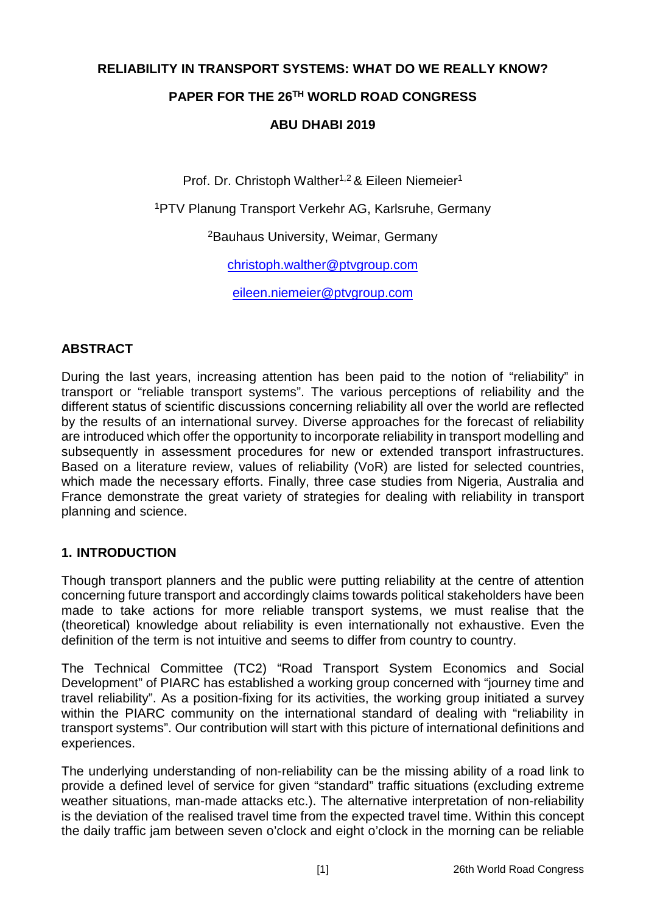# **RELIABILITY IN TRANSPORT SYSTEMS: WHAT DO WE REALLY KNOW? PAPER FOR THE 26TH WORLD ROAD CONGRESS ABU DHABI 2019**

Prof. Dr. Christoph Walther<sup>1,2</sup> & Eileen Niemeier<sup>1</sup>

1PTV Planung Transport Verkehr AG, Karlsruhe, Germany

2Bauhaus University, Weimar, Germany

christoph.walther@ptvgroup.com

eileen.niemeier@ptvgroup.com

## **ABSTRACT**

During the last years, increasing attention has been paid to the notion of "reliability" in transport or "reliable transport systems". The various perceptions of reliability and the different status of scientific discussions concerning reliability all over the world are reflected by the results of an international survey. Diverse approaches for the forecast of reliability are introduced which offer the opportunity to incorporate reliability in transport modelling and subsequently in assessment procedures for new or extended transport infrastructures. Based on a literature review, values of reliability (VoR) are listed for selected countries, which made the necessary efforts. Finally, three case studies from Nigeria, Australia and France demonstrate the great variety of strategies for dealing with reliability in transport planning and science.

#### **1. INTRODUCTION**

Though transport planners and the public were putting reliability at the centre of attention concerning future transport and accordingly claims towards political stakeholders have been made to take actions for more reliable transport systems, we must realise that the (theoretical) knowledge about reliability is even internationally not exhaustive. Even the definition of the term is not intuitive and seems to differ from country to country.

The Technical Committee (TC2) "Road Transport System Economics and Social Development" of PIARC has established a working group concerned with "journey time and travel reliability". As a position-fixing for its activities, the working group initiated a survey within the PIARC community on the international standard of dealing with "reliability in transport systems". Our contribution will start with this picture of international definitions and experiences.

The underlying understanding of non-reliability can be the missing ability of a road link to provide a defined level of service for given "standard" traffic situations (excluding extreme weather situations, man-made attacks etc.). The alternative interpretation of non-reliability is the deviation of the realised travel time from the expected travel time. Within this concept the daily traffic jam between seven o'clock and eight o'clock in the morning can be reliable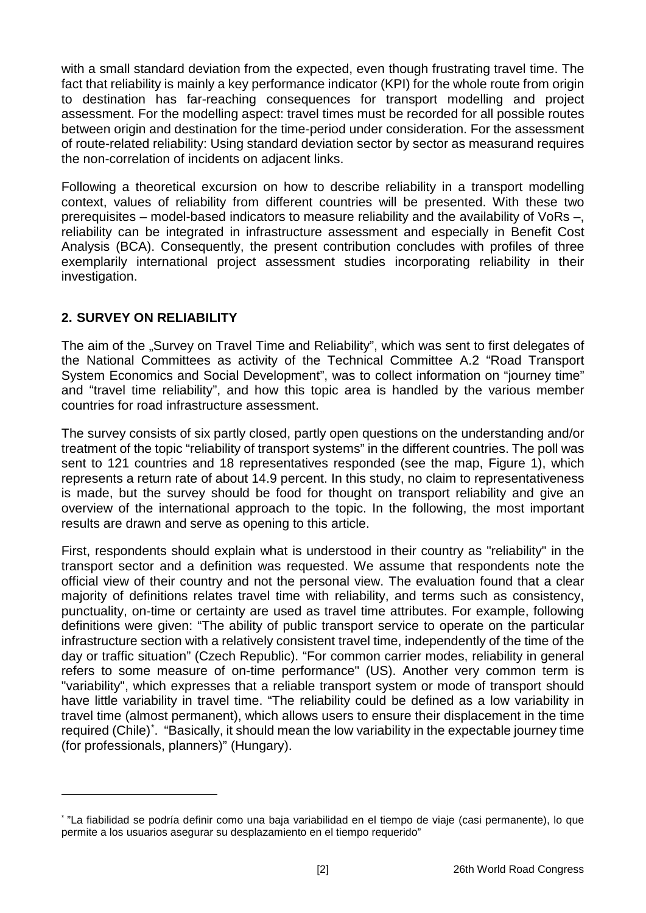with a small standard deviation from the expected, even though frustrating travel time. The fact that reliability is mainly a key performance indicator (KPI) for the whole route from origin to destination has far-reaching consequences for transport modelling and project assessment. For the modelling aspect: travel times must be recorded for all possible routes between origin and destination for the time-period under consideration. For the assessment of route-related reliability: Using standard deviation sector by sector as measurand requires the non-correlation of incidents on adjacent links.

Following a theoretical excursion on how to describe reliability in a transport modelling context, values of reliability from different countries will be presented. With these two prerequisites – model-based indicators to measure reliability and the availability of VoRs –, reliability can be integrated in infrastructure assessment and especially in Benefit Cost Analysis (BCA). Consequently, the present contribution concludes with profiles of three exemplarily international project assessment studies incorporating reliability in their investigation.

# <span id="page-1-1"></span>**2. SURVEY ON RELIABILITY**

-

The aim of the "Survey on Travel Time and Reliability", which was sent to first delegates of the National Committees as activity of the Technical Committee A.2 "Road Transport System Economics and Social Development", was to collect information on "journey time" and "travel time reliability", and how this topic area is handled by the various member countries for road infrastructure assessment.

The survey consists of six partly closed, partly open questions on the understanding and/or treatment of the topic "reliability of transport systems" in the different countries. The poll was sent to 121 countries and 18 representatives responded (see the map, [Figure 1\)](#page-2-0), which represents a return rate of about 14.9 percent. In this study, no claim to representativeness is made, but the survey should be food for thought on transport reliability and give an overview of the international approach to the topic. In the following, the most important results are drawn and serve as opening to this article.

First, respondents should explain what is understood in their country as "reliability" in the transport sector and a definition was requested. We assume that respondents note the official view of their country and not the personal view. The evaluation found that a clear majority of definitions relates travel time with reliability, and terms such as consistency, punctuality, on-time or certainty are used as travel time attributes. For example, following definitions were given: "The ability of public transport service to operate on the particular infrastructure section with a relatively consistent travel time, independently of the time of the day or traffic situation" (Czech Republic). "For common carrier modes, reliability in general refers to some measure of on-time performance" (US). Another very common term is "variability", which expresses that a reliable transport system or mode of transport should have little variability in travel time. "The reliability could be defined as a low variability in travel time (almost permanent), which allows users to ensure their displacement in the time required (Chile)[\\*](#page-1-0) . "Basically, it should mean the low variability in the expectable journey time (for professionals, planners)" (Hungary).

<span id="page-1-0"></span><sup>\*</sup> "La fiabilidad se podría definir como una baja variabilidad en el tiempo de viaje (casi permanente), lo que permite a los usuarios asegurar su desplazamiento en el tiempo requerido"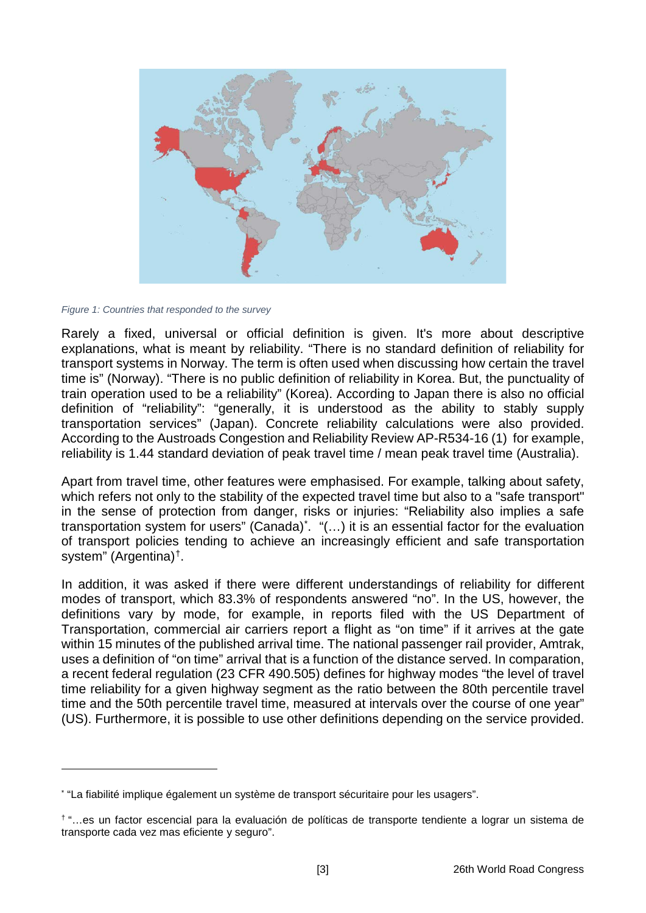

*Figure 1: Countries that responded to the survey*

-

<span id="page-2-0"></span>Rarely a fixed, universal or official definition is given. It's more about descriptive explanations, what is meant by reliability. "There is no standard definition of reliability for transport systems in Norway. The term is often used when discussing how certain the travel time is" (Norway). "There is no public definition of reliability in Korea. But, the punctuality of train operation used to be a reliability" (Korea). According to Japan there is also no official definition of "reliability": "generally, it is understood as the ability to stably supply transportation services" (Japan). Concrete reliability calculations were also provided. According to the Austroads Congestion and Reliability Review AP-R534-16 (1) for example, reliability is 1.44 standard deviation of peak travel time / mean peak travel time (Australia).

Apart from travel time, other features were emphasised. For example, talking about safety, which refers not only to the stability of the expected travel time but also to a "safe transport" in the sense of protection from danger, risks or injuries: "Reliability also implies a safe transportation system for users" (Canada)<sup>[\\*](#page-2-1)</sup>. "(...) it is an essential factor for the evaluation of transport policies tending to achieve an increasingly efficient and safe transportation system" (Argentina)[†](#page-2-2).

In addition, it was asked if there were different understandings of reliability for different modes of transport, which 83.3% of respondents answered "no". In the US, however, the definitions vary by mode, for example, in reports filed with the US Department of Transportation, commercial air carriers report a flight as "on time" if it arrives at the gate within 15 minutes of the published arrival time. The national passenger rail provider, Amtrak, uses a definition of "on time" arrival that is a function of the distance served. In comparation, a recent federal regulation (23 CFR 490.505) defines for highway modes "the level of travel time reliability for a given highway segment as the ratio between the 80th percentile travel time and the 50th percentile travel time, measured at intervals over the course of one year" (US). Furthermore, it is possible to use other definitions depending on the service provided.

<span id="page-2-1"></span><sup>\*</sup> "La fiabilité implique également un système de transport sécuritaire pour les usagers".

<span id="page-2-2"></span><sup>†</sup> "…es un factor escencial para la evaluación de políticas de transporte tendiente a lograr un sistema de transporte cada vez mas eficiente y seguro".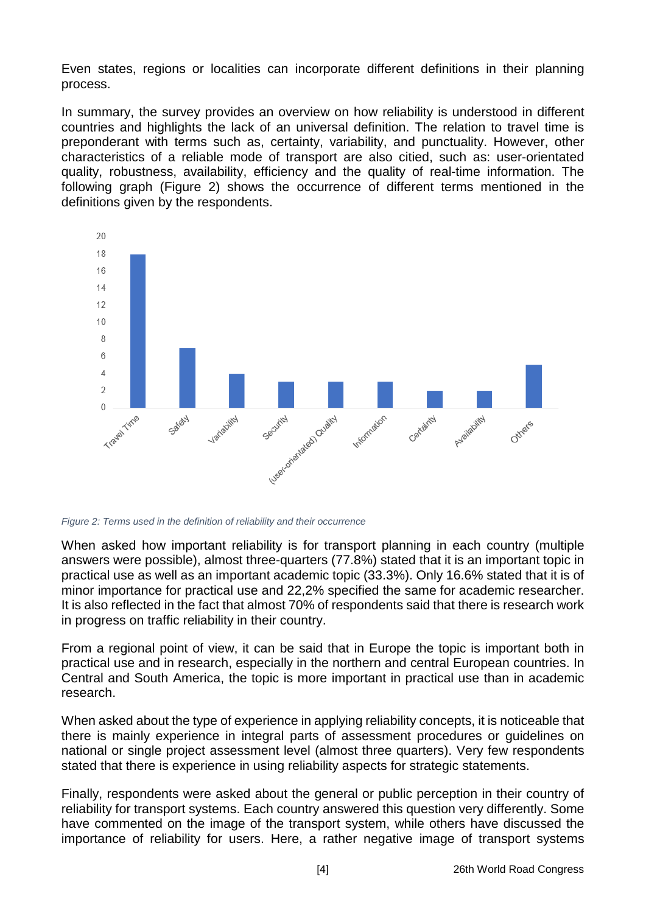Even states, regions or localities can incorporate different definitions in their planning process.

In summary, the survey provides an overview on how reliability is understood in different countries and highlights the lack of an universal definition. The relation to travel time is preponderant with terms such as, certainty, variability, and punctuality. However, other characteristics of a reliable mode of transport are also citied, such as: user-orientated quality, robustness, availability, efficiency and the quality of real-time information. The following graph [\(Figure 2\)](#page-3-0) shows the occurrence of different terms mentioned in the definitions given by the respondents.



<span id="page-3-0"></span>*Figure 2: Terms used in the definition of reliability and their occurrence*

When asked how important reliability is for transport planning in each country (multiple answers were possible), almost three-quarters (77.8%) stated that it is an important topic in practical use as well as an important academic topic (33.3%). Only 16.6% stated that it is of minor importance for practical use and 22,2% specified the same for academic researcher. It is also reflected in the fact that almost 70% of respondents said that there is research work in progress on traffic reliability in their country.

From a regional point of view, it can be said that in Europe the topic is important both in practical use and in research, especially in the northern and central European countries. In Central and South America, the topic is more important in practical use than in academic research.

When asked about the type of experience in applying reliability concepts, it is noticeable that there is mainly experience in integral parts of assessment procedures or guidelines on national or single project assessment level (almost three quarters). Very few respondents stated that there is experience in using reliability aspects for strategic statements.

Finally, respondents were asked about the general or public perception in their country of reliability for transport systems. Each country answered this question very differently. Some have commented on the image of the transport system, while others have discussed the importance of reliability for users. Here, a rather negative image of transport systems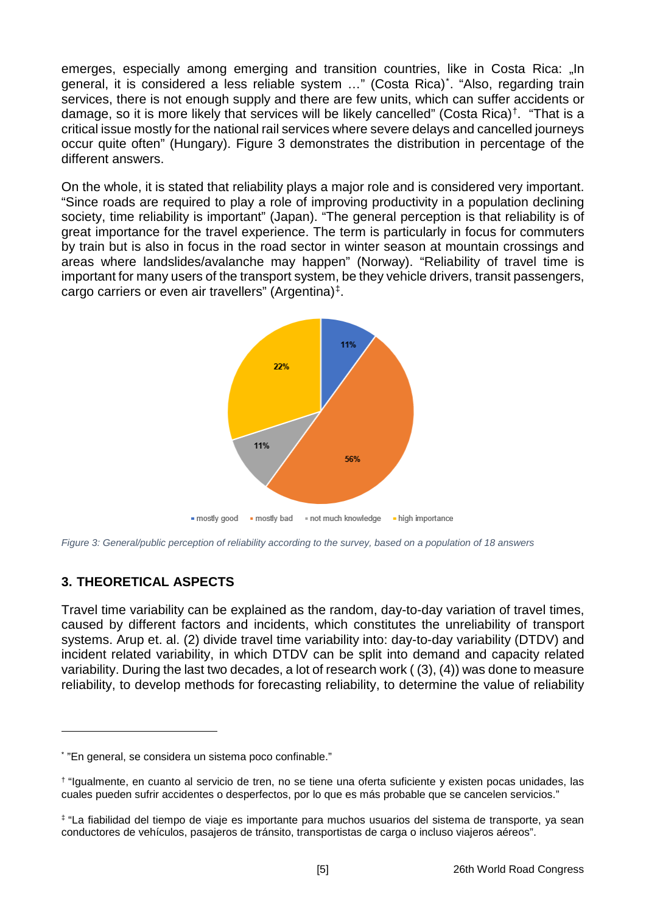emerges, especially among emerging and transition countries, like in Costa Rica: "In general, it is considered a less reliable system …" (Costa Rica)[\\*](#page-4-0) . "Also, regarding train services, there is not enough supply and there are few units, which can suffer accidents or damage, so it is more likely that services will be likely cancelled" (Costa Rica)[†](#page-4-1). "That is a critical issue mostly for the national rail services where severe delays and cancelled journeys occur quite often" (Hungary). Figure 3 demonstrates the distribution in percentage of the different answers.

On the whole, it is stated that reliability plays a major role and is considered very important. "Since roads are required to play a role of improving productivity in a population declining society, time reliability is important" (Japan). "The general perception is that reliability is of great importance for the travel experience. The term is particularly in focus for commuters by train but is also in focus in the road sector in winter season at mountain crossings and areas where landslides/avalanche may happen" (Norway). "Reliability of travel time is important for many users of the transport system, be they vehicle drivers, transit passengers, cargo carriers or even air travellers" (Argentina)[‡.](#page-4-2)



*Figure 3: General/public perception of reliability according to the survey, based on a population of 18 answers*

# **3. THEORETICAL ASPECTS**

-

Travel time variability can be explained as the random, day-to-day variation of travel times, caused by different factors and incidents, which constitutes the unreliability of transport systems. Arup et. al. (2) divide travel time variability into: day-to-day variability (DTDV) and incident related variability, in which DTDV can be split into demand and capacity related variability. During the last two decades, a lot of research work ( (3), (4)) was done to measure reliability, to develop methods for forecasting reliability, to determine the value of reliability

<span id="page-4-0"></span><sup>\*</sup> "En general, se considera un sistema poco confinable."

<span id="page-4-1"></span><sup>†</sup> "Igualmente, en cuanto al servicio de tren, no se tiene una oferta suficiente y existen pocas unidades, las cuales pueden sufrir accidentes o desperfectos, por lo que es más probable que se cancelen servicios."

<span id="page-4-2"></span><sup>‡</sup> "La fiabilidad del tiempo de viaje es importante para muchos usuarios del sistema de transporte, ya sean conductores de vehículos, pasajeros de tránsito, transportistas de carga o incluso viajeros aéreos".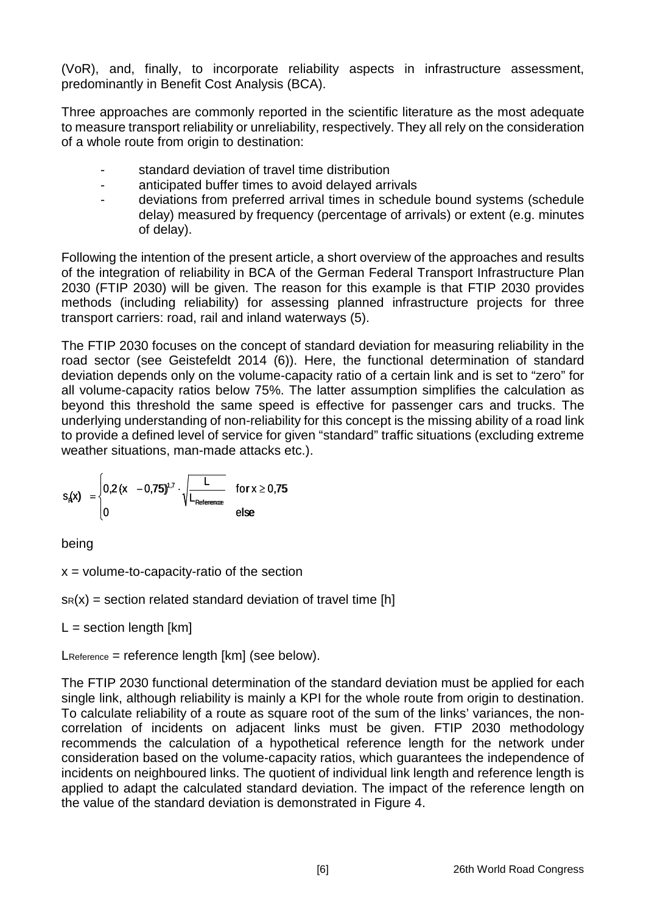(VoR), and, finally, to incorporate reliability aspects in infrastructure assessment, predominantly in Benefit Cost Analysis (BCA).

Three approaches are commonly reported in the scientific literature as the most adequate to measure transport reliability or unreliability, respectively. They all rely on the consideration of a whole route from origin to destination:

- standard deviation of travel time distribution
- anticipated buffer times to avoid delayed arrivals
- deviations from preferred arrival times in schedule bound systems (schedule delay) measured by frequency (percentage of arrivals) or extent (e.g. minutes of delay).

Following the intention of the present article, a short overview of the approaches and results of the integration of reliability in BCA of the German Federal Transport Infrastructure Plan 2030 (FTIP 2030) will be given. The reason for this example is that FTIP 2030 provides methods (including reliability) for assessing planned infrastructure projects for three transport carriers: road, rail and inland waterways (5).

The FTIP 2030 focuses on the concept of standard deviation for measuring reliability in the road sector (see Geistefeldt 2014 (6)). Here, the functional determination of standard deviation depends only on the volume-capacity ratio of a certain link and is set to "zero" for all volume-capacity ratios below 75%. The latter assumption simplifies the calculation as beyond this threshold the same speed is effective for passenger cars and trucks. The underlying understanding of non-reliability for this concept is the missing ability of a road link to provide a defined level of service for given "standard" traffic situations (excluding extreme weather situations, man-made attacks etc.).

$$
s_{\text{R}}(x) = \begin{cases} 0.2(x - 0.75)^{1.7} \cdot \sqrt{\frac{L}{L_{\text{Reference}}} } & \text{for } x \ge 0.75 \\ 0 & \text{else} \end{cases}
$$

being

 $x =$  volume-to-capacity-ratio of the section

 $s_R(x)$  = section related standard deviation of travel time [h]

 $L =$  section length  $[km]$ 

LReference = reference length [km] (see below).

The FTIP 2030 functional determination of the standard deviation must be applied for each single link, although reliability is mainly a KPI for the whole route from origin to destination. To calculate reliability of a route as square root of the sum of the links' variances, the noncorrelation of incidents on adjacent links must be given. FTIP 2030 methodology recommends the calculation of a hypothetical reference length for the network under consideration based on the volume-capacity ratios, which guarantees the independence of incidents on neighboured links. The quotient of individual link length and reference length is applied to adapt the calculated standard deviation. The impact of the reference length on the value of the standard deviation is demonstrated in [Figure 4.](#page-6-0)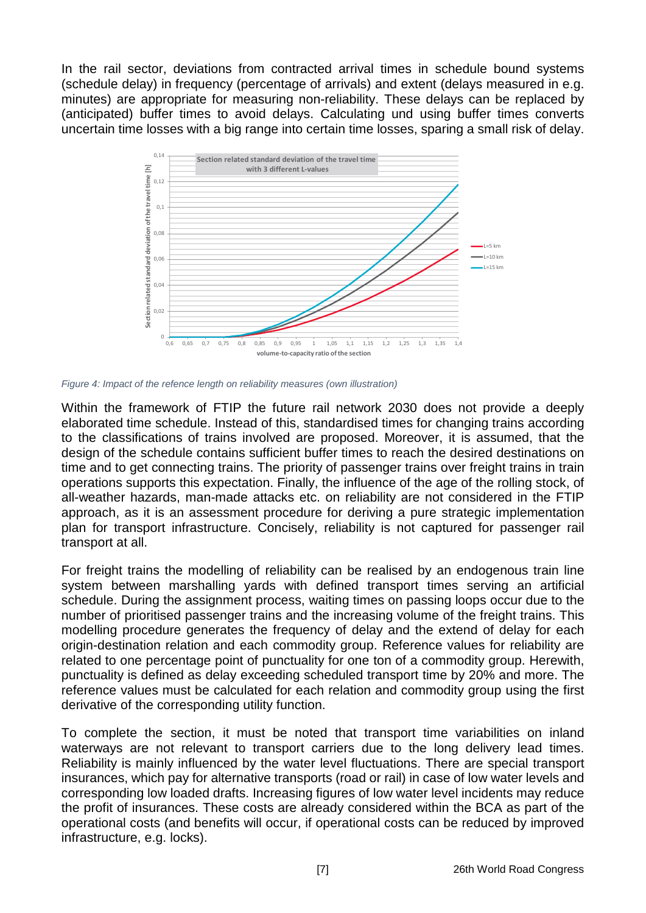In the rail sector, deviations from contracted arrival times in schedule bound systems (schedule delay) in frequency (percentage of arrivals) and extent (delays measured in e.g. minutes) are appropriate for measuring non-reliability. These delays can be replaced by (anticipated) buffer times to avoid delays. Calculating und using buffer times converts uncertain time losses with a big range into certain time losses, sparing a small risk of delay.



<span id="page-6-0"></span>*Figure 4: Impact of the refence length on reliability measures (own illustration)*

Within the framework of FTIP the future rail network 2030 does not provide a deeply elaborated time schedule. Instead of this, standardised times for changing trains according to the classifications of trains involved are proposed. Moreover, it is assumed, that the design of the schedule contains sufficient buffer times to reach the desired destinations on time and to get connecting trains. The priority of passenger trains over freight trains in train operations supports this expectation. Finally, the influence of the age of the rolling stock, of all-weather hazards, man-made attacks etc. on reliability are not considered in the FTIP approach, as it is an assessment procedure for deriving a pure strategic implementation plan for transport infrastructure. Concisely, reliability is not captured for passenger rail transport at all.

For freight trains the modelling of reliability can be realised by an endogenous train line system between marshalling yards with defined transport times serving an artificial schedule. During the assignment process, waiting times on passing loops occur due to the number of prioritised passenger trains and the increasing volume of the freight trains. This modelling procedure generates the frequency of delay and the extend of delay for each origin-destination relation and each commodity group. Reference values for reliability are related to one percentage point of punctuality for one ton of a commodity group. Herewith, punctuality is defined as delay exceeding scheduled transport time by 20% and more. The reference values must be calculated for each relation and commodity group using the first derivative of the corresponding utility function.

To complete the section, it must be noted that transport time variabilities on inland waterways are not relevant to transport carriers due to the long delivery lead times. Reliability is mainly influenced by the water level fluctuations. There are special transport insurances, which pay for alternative transports (road or rail) in case of low water levels and corresponding low loaded drafts. Increasing figures of low water level incidents may reduce the profit of insurances. These costs are already considered within the BCA as part of the operational costs (and benefits will occur, if operational costs can be reduced by improved infrastructure, e.g. locks).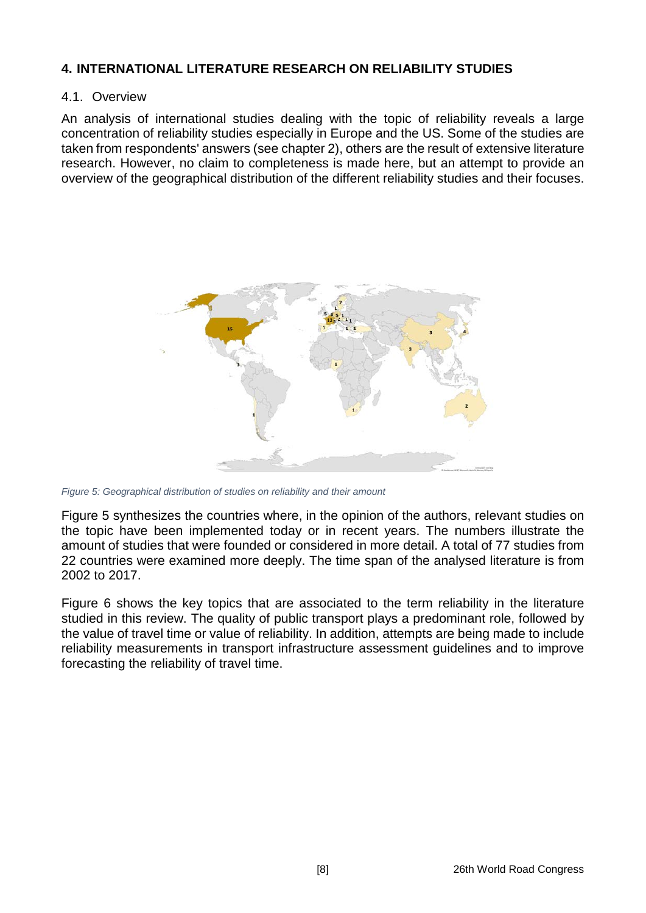#### **4. INTERNATIONAL LITERATURE RESEARCH ON RELIABILITY STUDIES**

#### 4.1. Overview

An analysis of international studies dealing with the topic of reliability reveals a large concentration of reliability studies especially in Europe and the US. Some of the studies are taken from respondents' answers (see chapter [2\)](#page-1-1), others are the result of extensive literature research. However, no claim to completeness is made here, but an attempt to provide an overview of the geographical distribution of the different reliability studies and their focuses.



<span id="page-7-0"></span>*Figure 5: Geographical distribution of studies on reliability and their amount*

[Figure 5](#page-7-0) synthesizes the countries where, in the opinion of the authors, relevant studies on the topic have been implemented today or in recent years. The numbers illustrate the amount of studies that were founded or considered in more detail. A total of 77 studies from 22 countries were examined more deeply. The time span of the analysed literature is from 2002 to 2017.

[Figure 6](#page-8-0) shows the key topics that are associated to the term reliability in the literature studied in this review. The quality of public transport plays a predominant role, followed by the value of travel time or value of reliability. In addition, attempts are being made to include reliability measurements in transport infrastructure assessment guidelines and to improve forecasting the reliability of travel time.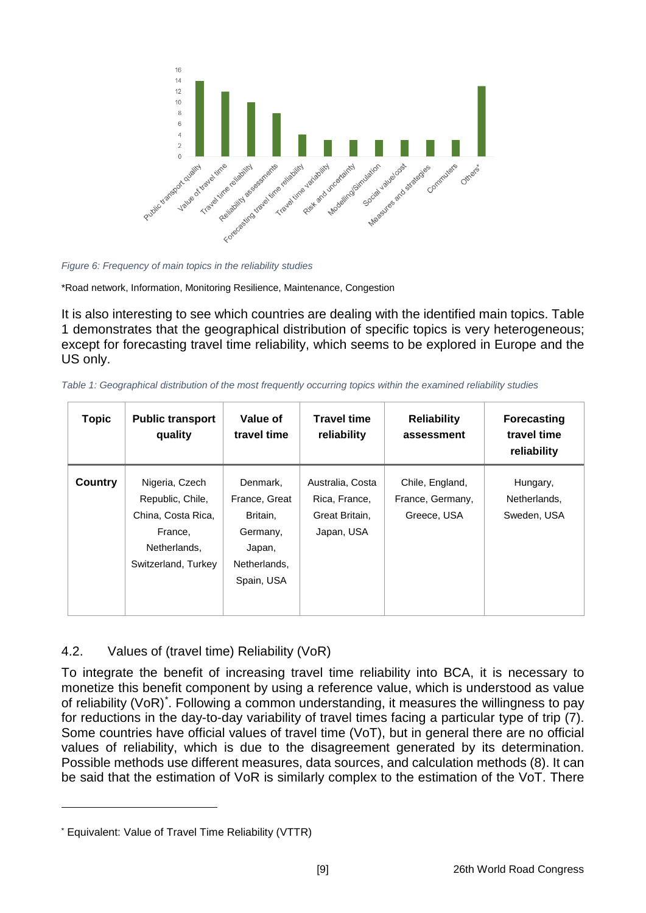

<span id="page-8-0"></span>*Figure 6: Frequency of main topics in the reliability studies*

\*Road network, Information, Monitoring Resilience, Maintenance, Congestion

It is also interesting to see which countries are dealing with the identified main topics. [Table](#page-8-1)  [1](#page-8-1) demonstrates that the geographical distribution of specific topics is very heterogeneous; except for forecasting travel time reliability, which seems to be explored in Europe and the US only.

<span id="page-8-1"></span>*Table 1: Geographical distribution of the most frequently occurring topics within the examined reliability studies*

| <b>Topic</b> | <b>Public transport</b><br>quality                                                                         | Value of<br>travel time                                                                   | <b>Travel time</b><br>reliability                                 | <b>Reliability</b><br>assessment                   | <b>Forecasting</b><br>travel time<br>reliability |
|--------------|------------------------------------------------------------------------------------------------------------|-------------------------------------------------------------------------------------------|-------------------------------------------------------------------|----------------------------------------------------|--------------------------------------------------|
| Country      | Nigeria, Czech<br>Republic, Chile,<br>China, Costa Rica,<br>France,<br>Netherlands.<br>Switzerland, Turkey | Denmark,<br>France, Great<br>Britain,<br>Germany,<br>Japan,<br>Netherlands.<br>Spain, USA | Australia, Costa<br>Rica, France,<br>Great Britain,<br>Japan, USA | Chile, England,<br>France, Germany,<br>Greece, USA | Hungary,<br>Netherlands.<br>Sweden, USA          |

## 4.2. Values of (travel time) Reliability (VoR)

To integrate the benefit of increasing travel time reliability into BCA, it is necessary to monetize this benefit component by using a reference value, which is understood as value of reliability (VoR)[\\*](#page-8-2) . Following a common understanding, it measures the willingness to pay for reductions in the day-to-day variability of travel times facing a particular type of trip (7). Some countries have official values of travel time (VoT), but in general there are no official values of reliability, which is due to the disagreement generated by its determination. Possible methods use different measures, data sources, and calculation methods (8). It can be said that the estimation of VoR is similarly complex to the estimation of the VoT. There

-

<span id="page-8-2"></span><sup>\*</sup> Equivalent: Value of Travel Time Reliability (VTTR)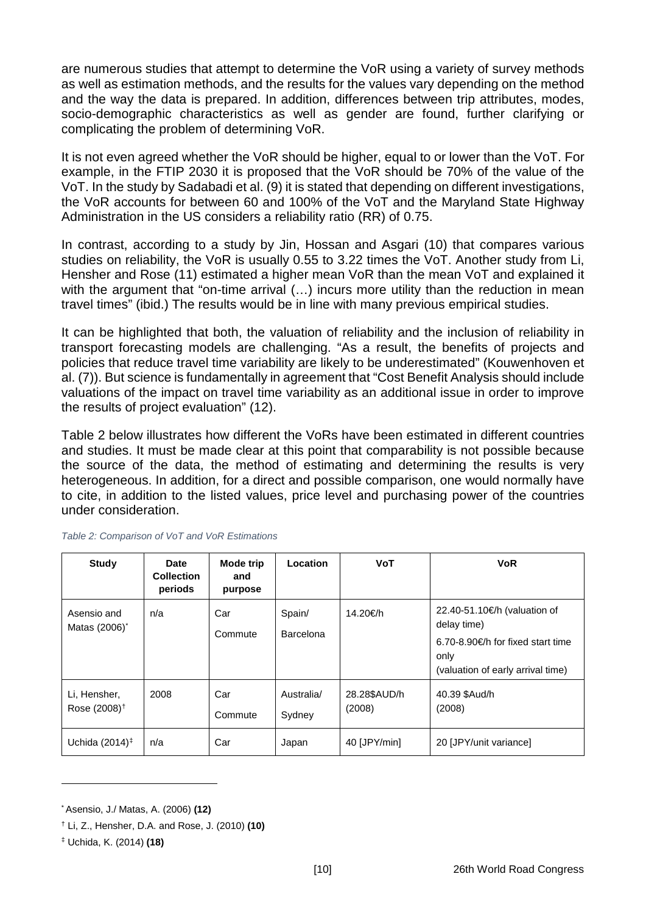are numerous studies that attempt to determine the VoR using a variety of survey methods as well as estimation methods, and the results for the values vary depending on the method and the way the data is prepared. In addition, differences between trip attributes, modes, socio-demographic characteristics as well as gender are found, further clarifying or complicating the problem of determining VoR.

It is not even agreed whether the VoR should be higher, equal to or lower than the VoT. For example, in the FTIP 2030 it is proposed that the VoR should be 70% of the value of the VoT. In the study by Sadabadi et al. (9) it is stated that depending on different investigations, the VoR accounts for between 60 and 100% of the VoT and the Maryland State Highway Administration in the US considers a reliability ratio (RR) of 0.75.

In contrast, according to a study by Jin, Hossan and Asgari (10) that compares various studies on reliability, the VoR is usually 0.55 to 3.22 times the VoT. Another study from Li, Hensher and Rose (11) estimated a higher mean VoR than the mean VoT and explained it with the argument that "on-time arrival (...) incurs more utility than the reduction in mean travel times" (ibid.) The results would be in line with many previous empirical studies.

It can be highlighted that both, the valuation of reliability and the inclusion of reliability in transport forecasting models are challenging. "As a result, the benefits of projects and policies that reduce travel time variability are likely to be underestimated" (Kouwenhoven et al. (7)). But science is fundamentally in agreement that "Cost Benefit Analysis should include valuations of the impact on travel time variability as an additional issue in order to improve the results of project evaluation" (12).

[Table 2](#page-9-0) below illustrates how different the VoRs have been estimated in different countries and studies. It must be made clear at this point that comparability is not possible because the source of the data, the method of estimating and determining the results is very heterogeneous. In addition, for a direct and possible comparison, one would normally have to cite, in addition to the listed values, price level and purchasing power of the countries under consideration.

| <b>Study</b>                             | Date<br><b>Collection</b><br>periods | Mode trip<br>and<br>purpose | Location             | <b>VoT</b>             | <b>VoR</b>                                                                                                                    |
|------------------------------------------|--------------------------------------|-----------------------------|----------------------|------------------------|-------------------------------------------------------------------------------------------------------------------------------|
| Asensio and<br>Matas (2006) <sup>*</sup> | n/a                                  | Car<br>Commute              | Spain/<br>Barcelona  | 14.20€/h               | 22.40-51.10€/h (valuation of<br>delay time)<br>6.70-8.90€/h for fixed start time<br>only<br>(valuation of early arrival time) |
| Li, Hensher,<br>Rose (2008) <sup>†</sup> | 2008                                 | Car<br>Commute              | Australia/<br>Sydney | 28.28\$AUD/h<br>(2008) | 40.39 \$Aud/h<br>(2008)                                                                                                       |
| Uchida $(2014)^{\ddagger}$               | n/a                                  | Car                         | Japan                | 40 [JPY/min]           | 20 [JPY/unit variance]                                                                                                        |

<span id="page-9-0"></span>

| Table 2: Comparison of VoT and VoR Estimations |  |  |
|------------------------------------------------|--|--|
|------------------------------------------------|--|--|

-

<span id="page-9-1"></span><sup>\*</sup> Asensio, J./ Matas, A. (2006) **(12)**

<span id="page-9-2"></span><sup>†</sup> Li, Z., Hensher, D.A. and Rose, J. (2010) **(10)**

<span id="page-9-3"></span><sup>‡</sup> Uchida, K. (2014) **(18)**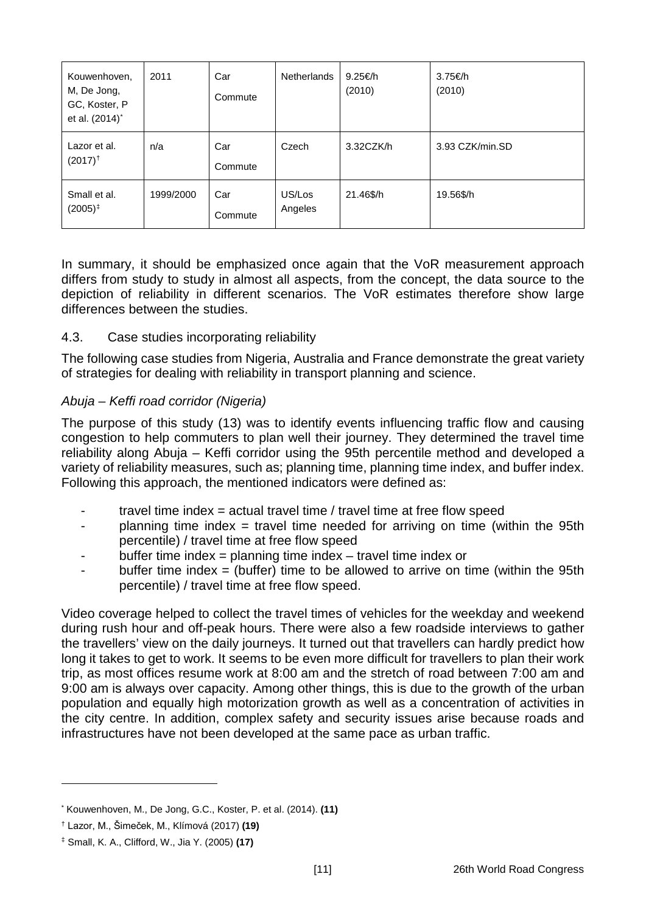| Kouwenhoven,<br>M, De Jong,<br>GC, Koster, P<br>et al. (2014) <sup>*</sup> | 2011      | Car<br>Commute | <b>Netherlands</b> | 9.25€/h<br>(2010) | 3.75€/h<br>(2010) |
|----------------------------------------------------------------------------|-----------|----------------|--------------------|-------------------|-------------------|
| Lazor et al.<br>$(2017)^{+}$                                               | n/a       | Car<br>Commute | Czech              | 3.32CZK/h         | 3.93 CZK/min.SD   |
| Small et al.<br>$(2005)^{\ddagger}$                                        | 1999/2000 | Car<br>Commute | US/Los<br>Angeles  | 21.46\$/h         | 19.56\$/h         |

In summary, it should be emphasized once again that the VoR measurement approach differs from study to study in almost all aspects, from the concept, the data source to the depiction of reliability in different scenarios. The VoR estimates therefore show large differences between the studies.

#### 4.3. Case studies incorporating reliability

The following case studies from Nigeria, Australia and France demonstrate the great variety of strategies for dealing with reliability in transport planning and science.

#### *Abuja – Keffi road corridor (Nigeria)*

The purpose of this study (13) was to identify events influencing traffic flow and causing congestion to help commuters to plan well their journey. They determined the travel time reliability along Abuja – Keffi corridor using the 95th percentile method and developed a variety of reliability measures, such as; planning time, planning time index, and buffer index. Following this approach, the mentioned indicators were defined as:

- travel time index = actual travel time  $\ell$  travel time at free flow speed
- planning time index = travel time needed for arriving on time (within the 95th percentile) / travel time at free flow speed
- buffer time index = planning time index travel time index or
- buffer time index = (buffer) time to be allowed to arrive on time (within the 95th percentile) / travel time at free flow speed.

Video coverage helped to collect the travel times of vehicles for the weekday and weekend during rush hour and off-peak hours. There were also a few roadside interviews to gather the travellers' view on the daily journeys. It turned out that travellers can hardly predict how long it takes to get to work. It seems to be even more difficult for travellers to plan their work trip, as most offices resume work at 8:00 am and the stretch of road between 7:00 am and 9:00 am is always over capacity. Among other things, this is due to the growth of the urban population and equally high motorization growth as well as a concentration of activities in the city centre. In addition, complex safety and security issues arise because roads and infrastructures have not been developed at the same pace as urban traffic.

-

<span id="page-10-0"></span><sup>\*</sup> Kouwenhoven, M., De Jong, G.C., Koster, P. et al. (2014). **(11)**

<span id="page-10-1"></span><sup>†</sup> Lazor, M., Šimeček, M., Klímová (2017) **(19)**

<span id="page-10-2"></span><sup>‡</sup> Small, K. A., Clifford, W., Jia Y. (2005) **(17)**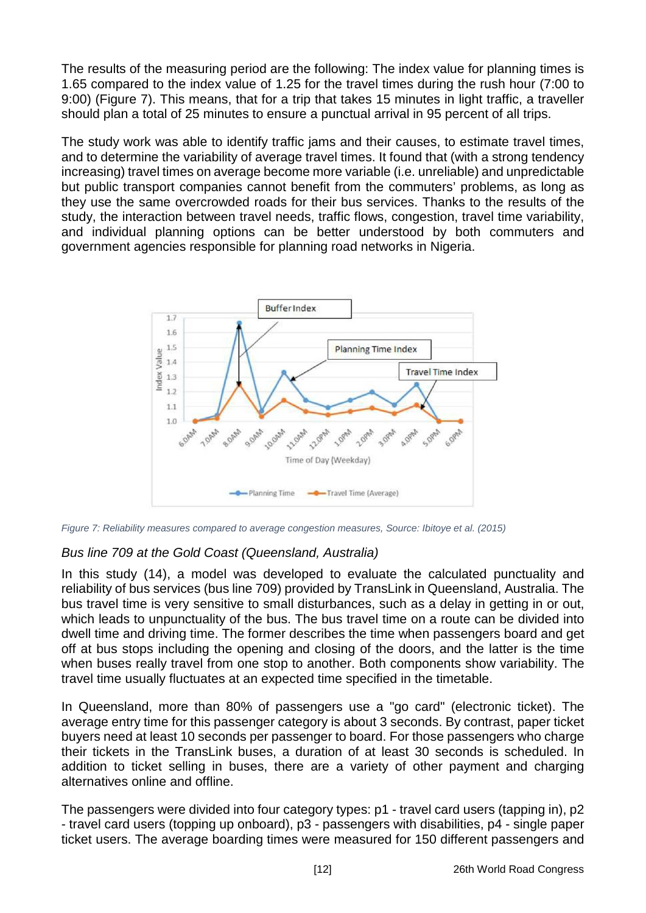The results of the measuring period are the following: The index value for planning times is 1.65 compared to the index value of 1.25 for the travel times during the rush hour (7:00 to 9:00) [\(Figure 7\)](#page-11-0). This means, that for a trip that takes 15 minutes in light traffic, a traveller should plan a total of 25 minutes to ensure a punctual arrival in 95 percent of all trips.

The study work was able to identify traffic jams and their causes, to estimate travel times, and to determine the variability of average travel times. It found that (with a strong tendency increasing) travel times on average become more variable (i.e. unreliable) and unpredictable but public transport companies cannot benefit from the commuters' problems, as long as they use the same overcrowded roads for their bus services. Thanks to the results of the study, the interaction between travel needs, traffic flows, congestion, travel time variability, and individual planning options can be better understood by both commuters and government agencies responsible for planning road networks in Nigeria.



<span id="page-11-0"></span>*Figure 7: Reliability measures compared to average congestion measures, Source: Ibitoye et al. (2015)*

## *Bus line 709 at the Gold Coast (Queensland, Australia)*

In this study (14), a model was developed to evaluate the calculated punctuality and reliability of bus services (bus line 709) provided by TransLink in Queensland, Australia. The bus travel time is very sensitive to small disturbances, such as a delay in getting in or out, which leads to unpunctuality of the bus. The bus travel time on a route can be divided into dwell time and driving time. The former describes the time when passengers board and get off at bus stops including the opening and closing of the doors, and the latter is the time when buses really travel from one stop to another. Both components show variability. The travel time usually fluctuates at an expected time specified in the timetable.

In Queensland, more than 80% of passengers use a "go card" (electronic ticket). The average entry time for this passenger category is about 3 seconds. By contrast, paper ticket buyers need at least 10 seconds per passenger to board. For those passengers who charge their tickets in the TransLink buses, a duration of at least 30 seconds is scheduled. In addition to ticket selling in buses, there are a variety of other payment and charging alternatives online and offline.

The passengers were divided into four category types: p1 - travel card users (tapping in), p2 - travel card users (topping up onboard), p3 - passengers with disabilities, p4 - single paper ticket users. The average boarding times were measured for 150 different passengers and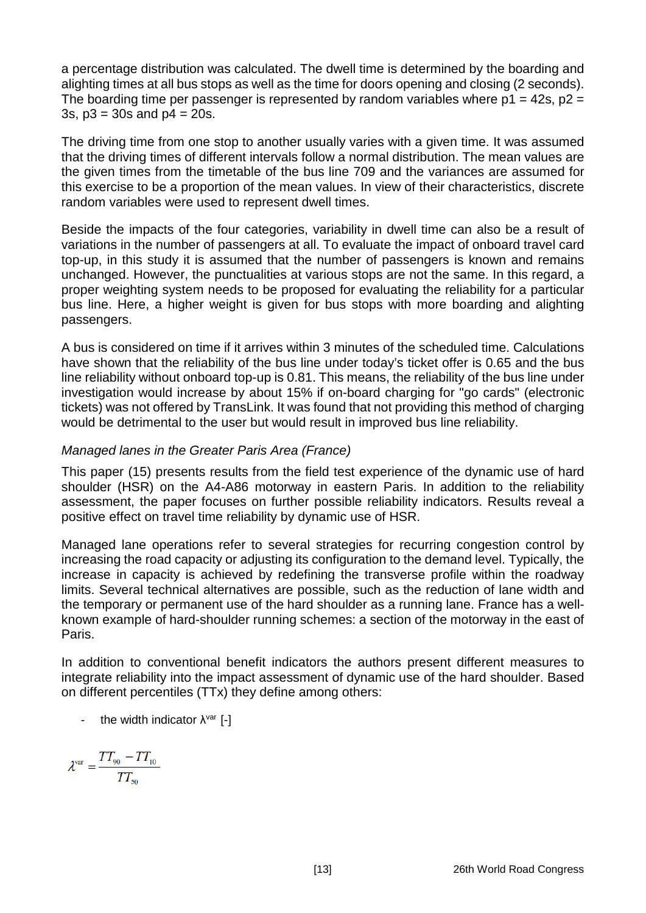a percentage distribution was calculated. The dwell time is determined by the boarding and alighting times at all bus stops as well as the time for doors opening and closing (2 seconds). The boarding time per passenger is represented by random variables where  $p1 = 42s$ ,  $p2 =$ 3s,  $p3 = 30s$  and  $p4 = 20s$ .

The driving time from one stop to another usually varies with a given time. It was assumed that the driving times of different intervals follow a normal distribution. The mean values are the given times from the timetable of the bus line 709 and the variances are assumed for this exercise to be a proportion of the mean values. In view of their characteristics, discrete random variables were used to represent dwell times.

Beside the impacts of the four categories, variability in dwell time can also be a result of variations in the number of passengers at all. To evaluate the impact of onboard travel card top-up, in this study it is assumed that the number of passengers is known and remains unchanged. However, the punctualities at various stops are not the same. In this regard, a proper weighting system needs to be proposed for evaluating the reliability for a particular bus line. Here, a higher weight is given for bus stops with more boarding and alighting passengers.

A bus is considered on time if it arrives within 3 minutes of the scheduled time. Calculations have shown that the reliability of the bus line under today's ticket offer is 0.65 and the bus line reliability without onboard top-up is 0.81. This means, the reliability of the bus line under investigation would increase by about 15% if on-board charging for "go cards" (electronic tickets) was not offered by TransLink. It was found that not providing this method of charging would be detrimental to the user but would result in improved bus line reliability.

#### *Managed lanes in the Greater Paris Area (France)*

This paper (15) presents results from the field test experience of the dynamic use of hard shoulder (HSR) on the A4-A86 motorway in eastern Paris. In addition to the reliability assessment, the paper focuses on further possible reliability indicators. Results reveal a positive effect on travel time reliability by dynamic use of HSR.

Managed lane operations refer to several strategies for recurring congestion control by increasing the road capacity or adjusting its configuration to the demand level. Typically, the increase in capacity is achieved by redefining the transverse profile within the roadway limits. Several technical alternatives are possible, such as the reduction of lane width and the temporary or permanent use of the hard shoulder as a running lane. France has a wellknown example of hard-shoulder running schemes: a section of the motorway in the east of Paris.

In addition to conventional benefit indicators the authors present different measures to integrate reliability into the impact assessment of dynamic use of the hard shoulder. Based on different percentiles (TTx) they define among others:

- the width indicator  $\lambda^{\text{var}}$  [-]

$$
\lambda^{\text{var}} = \frac{TT_{90} - TT_{10}}{TT_{50}}
$$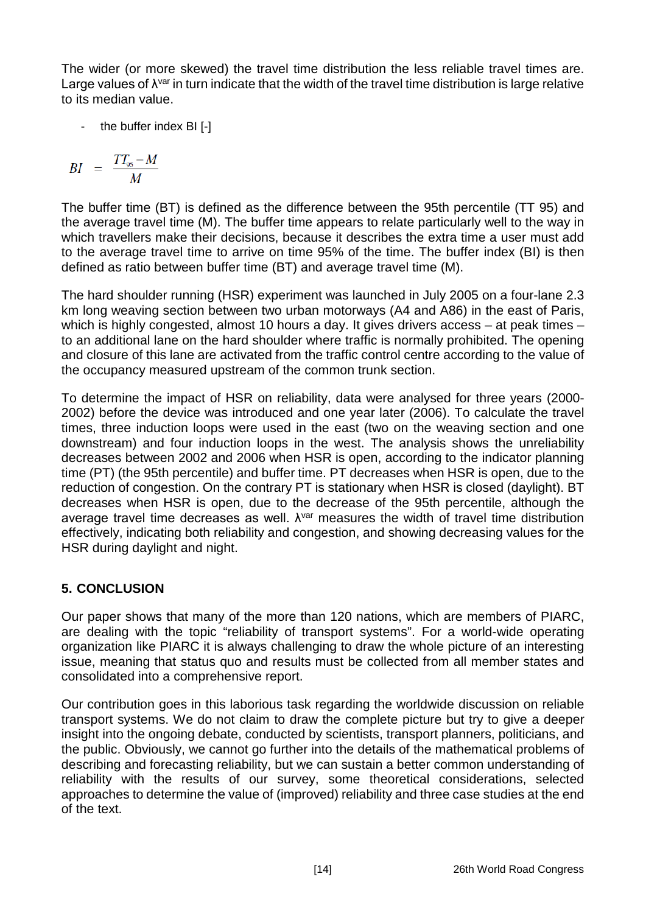The wider (or more skewed) the travel time distribution the less reliable travel times are. Large values of  $\lambda^{var}$  in turn indicate that the width of the travel time distribution is large relative to its median value.

- the buffer index BI [-]

$$
BI = \frac{TT_{95} - M}{M}
$$

The buffer time (BT) is defined as the difference between the 95th percentile (TT 95) and the average travel time (M). The buffer time appears to relate particularly well to the way in which travellers make their decisions, because it describes the extra time a user must add to the average travel time to arrive on time 95% of the time. The buffer index (BI) is then defined as ratio between buffer time (BT) and average travel time (M).

The hard shoulder running (HSR) experiment was launched in July 2005 on a four-lane 2.3 km long weaving section between two urban motorways (A4 and A86) in the east of Paris, which is highly congested, almost 10 hours a day. It gives drivers access – at peak times – to an additional lane on the hard shoulder where traffic is normally prohibited. The opening and closure of this lane are activated from the traffic control centre according to the value of the occupancy measured upstream of the common trunk section.

To determine the impact of HSR on reliability, data were analysed for three years (2000- 2002) before the device was introduced and one year later (2006). To calculate the travel times, three induction loops were used in the east (two on the weaving section and one downstream) and four induction loops in the west. The analysis shows the unreliability decreases between 2002 and 2006 when HSR is open, according to the indicator planning time (PT) (the 95th percentile) and buffer time. PT decreases when HSR is open, due to the reduction of congestion. On the contrary PT is stationary when HSR is closed (daylight). BT decreases when HSR is open, due to the decrease of the 95th percentile, although the average travel time decreases as well.  $\lambda^{\text{var}}$  measures the width of travel time distribution effectively, indicating both reliability and congestion, and showing decreasing values for the HSR during daylight and night.

# **5. CONCLUSION**

Our paper shows that many of the more than 120 nations, which are members of PIARC, are dealing with the topic "reliability of transport systems". For a world-wide operating organization like PIARC it is always challenging to draw the whole picture of an interesting issue, meaning that status quo and results must be collected from all member states and consolidated into a comprehensive report.

Our contribution goes in this laborious task regarding the worldwide discussion on reliable transport systems. We do not claim to draw the complete picture but try to give a deeper insight into the ongoing debate, conducted by scientists, transport planners, politicians, and the public. Obviously, we cannot go further into the details of the mathematical problems of describing and forecasting reliability, but we can sustain a better common understanding of reliability with the results of our survey, some theoretical considerations, selected approaches to determine the value of (improved) reliability and three case studies at the end of the text.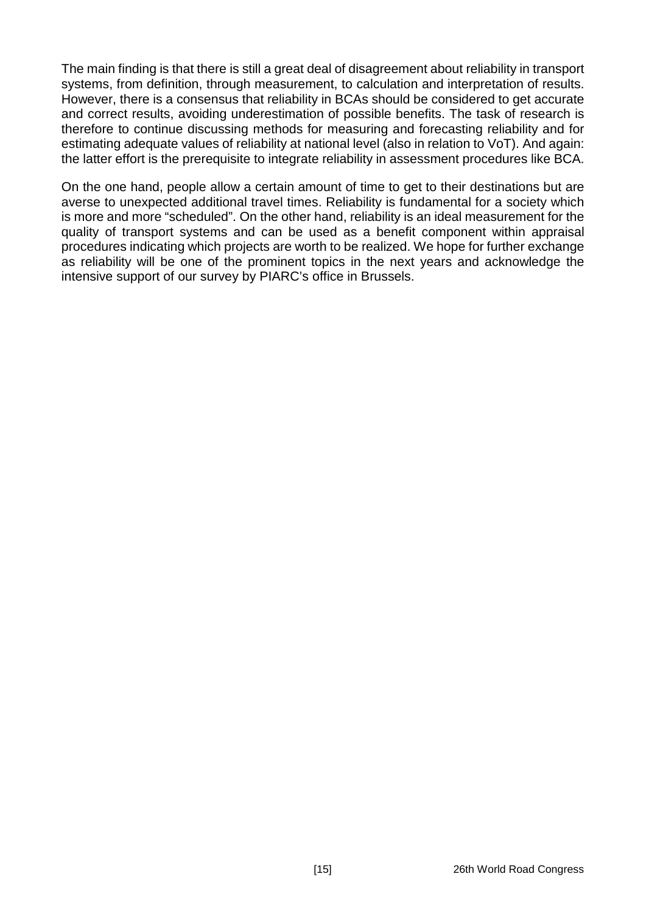The main finding is that there is still a great deal of disagreement about reliability in transport systems, from definition, through measurement, to calculation and interpretation of results. However, there is a consensus that reliability in BCAs should be considered to get accurate and correct results, avoiding underestimation of possible benefits. The task of research is therefore to continue discussing methods for measuring and forecasting reliability and for estimating adequate values of reliability at national level (also in relation to VoT). And again: the latter effort is the prerequisite to integrate reliability in assessment procedures like BCA.

On the one hand, people allow a certain amount of time to get to their destinations but are averse to unexpected additional travel times. Reliability is fundamental for a society which is more and more "scheduled". On the other hand, reliability is an ideal measurement for the quality of transport systems and can be used as a benefit component within appraisal procedures indicating which projects are worth to be realized. We hope for further exchange as reliability will be one of the prominent topics in the next years and acknowledge the intensive support of our survey by PIARC's office in Brussels.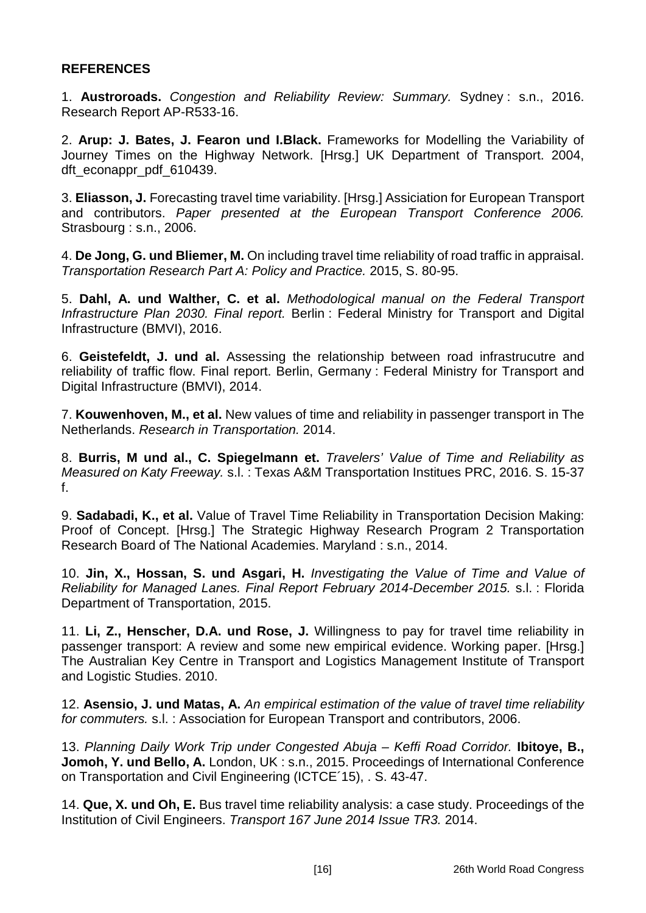#### **REFERENCES**

1. **Austroroads.** *Congestion and Reliability Review: Summary.* Sydney : s.n., 2016. Research Report AP-R533-16.

2. **Arup: J. Bates, J. Fearon und I.Black.** Frameworks for Modelling the Variability of Journey Times on the Highway Network. [Hrsg.] UK Department of Transport. 2004, dft\_econappr\_pdf\_610439.

3. **Eliasson, J.** Forecasting travel time variability. [Hrsg.] Assiciation for European Transport and contributors. *Paper presented at the European Transport Conference 2006.*  Strasbourg : s.n., 2006.

4. **De Jong, G. und Bliemer, M.** On including travel time reliability of road traffic in appraisal. *Transportation Research Part A: Policy and Practice.* 2015, S. 80-95.

5. **Dahl, A. und Walther, C. et al.** *Methodological manual on the Federal Transport Infrastructure Plan 2030. Final report.* Berlin : Federal Ministry for Transport and Digital Infrastructure (BMVI), 2016.

6. **Geistefeldt, J. und al.** Assessing the relationship between road infrastrucutre and reliability of traffic flow. Final report. Berlin, Germany : Federal Ministry for Transport and Digital Infrastructure (BMVI), 2014.

7. **Kouwenhoven, M., et al.** New values of time and reliability in passenger transport in The Netherlands. *Research in Transportation.* 2014.

8. **Burris, M und al., C. Spiegelmann et.** *Travelers' Value of Time and Reliability as Measured on Katy Freeway.* s.l. : Texas A&M Transportation Institues PRC, 2016. S. 15-37 f.

9. **Sadabadi, K., et al.** Value of Travel Time Reliability in Transportation Decision Making: Proof of Concept. [Hrsg.] The Strategic Highway Research Program 2 Transportation Research Board of The National Academies. Maryland : s.n., 2014.

10. **Jin, X., Hossan, S. und Asgari, H.** *Investigating the Value of Time and Value of Reliability for Managed Lanes. Final Report February 2014-December 2015.* s.l. : Florida Department of Transportation, 2015.

11. **Li, Z., Henscher, D.A. und Rose, J.** Willingness to pay for travel time reliability in passenger transport: A review and some new empirical evidence. Working paper. [Hrsg.] The Australian Key Centre in Transport and Logistics Management Institute of Transport and Logistic Studies. 2010.

12. **Asensio, J. und Matas, A.** *An empirical estimation of the value of travel time reliability for commuters.* s.l. : Association for European Transport and contributors, 2006.

13. *Planning Daily Work Trip under Congested Abuja – Keffi Road Corridor.* **Ibitoye, B.,**  Jomoh, Y. und Bello, A. London, UK : s.n., 2015. Proceedings of International Conference on Transportation and Civil Engineering (ICTCE´15), . S. 43-47.

14. **Que, X. und Oh, E.** Bus travel time reliability analysis: a case study. Proceedings of the Institution of Civil Engineers. *Transport 167 June 2014 Issue TR3.* 2014.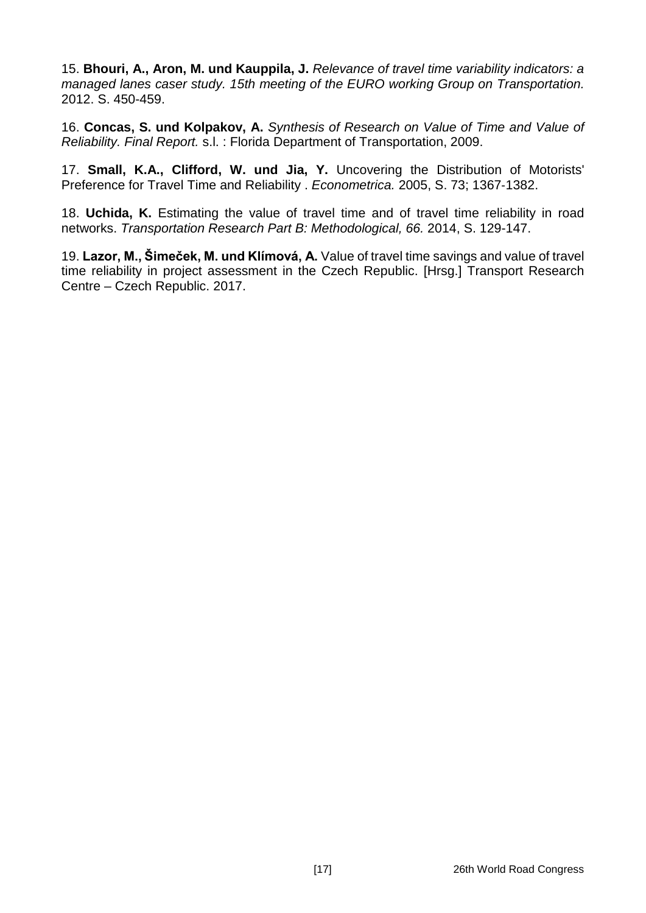15. **Bhouri, A., Aron, M. und Kauppila, J.** *Relevance of travel time variability indicators: a managed lanes caser study. 15th meeting of the EURO working Group on Transportation.*  2012. S. 450-459.

16. **Concas, S. und Kolpakov, A.** *Synthesis of Research on Value of Time and Value of Reliability. Final Report.* s.l. : Florida Department of Transportation, 2009.

17. **Small, K.A., Clifford, W. und Jia, Y.** Uncovering the Distribution of Motorists' Preference for Travel Time and Reliability . *Econometrica.* 2005, S. 73; 1367‐1382.

18. **Uchida, K.** Estimating the value of travel time and of travel time reliability in road networks. *Transportation Research Part B: Methodological, 66.* 2014, S. 129-147.

19. **Lazor, M., Šimeček, M. und Klímová, A.** Value of travel time savings and value of travel time reliability in project assessment in the Czech Republic. [Hrsg.] Transport Research Centre – Czech Republic. 2017.